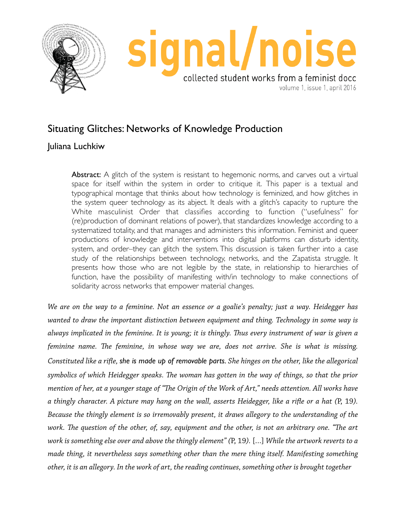



volume 1, issue 1, april 2016

## Situating Glitches: Networks of Knowledge Production

## Juliana Luchkiw

Abstract: A glitch of the system is resistant to hegemonic norms, and carves out a virtual space for itself within the system in order to critique it. This paper is a textual and typographical montage that thinks about how technology is feminized, and how glitches in the system queer technology as its abject. It deals with a glitch's capacity to rupture the White masculinist Order that classifies according to function ("usefulness" for (re)production of dominant relations of power), that standardizes knowledge according to a systematized totality, and that manages and administers this information. Feminist and queer productions of knowledge and interventions into digital platforms can disturb identity, system, and order–they can glitch the system. This discussion is taken further into a case study of the relationships between technology, networks, and the Zapatista struggle. It presents how those who are not legible by the state, in relationship to hierarchies of function, have the possibility of manifesting with/in technology to make connections of solidarity across networks that empower material changes.

*We are on the way to a feminine. Not an essence or a goalie's penalty; just a way. Heidegger has wanted to draw the important distinction between equipment and thing. Technology in some way is always implicated in the feminine. It is young; it is thingly. Tus every instrument of war is given a feminine name. Te feminine, in whose way we are, does not arrive. She is what is missing. Constituted like a rife, she is made up of removable parts. She hinges on the other, like the allegorical symbolics of which Heidegger speaks. Te woman has gotten in the way of things, so that the prior mention of her, at a younger stage of "Te Origin of the Work of Art," needs attention. All works have a thingly character. A picture may hang on the wall, asserts Heidegger, like a rife or a hat (*P, 19*). Because the thingly element is so irremovably present, it draws allegory to the understanding of the work. Te question of the other, of, say, equipment and the other, is not an arbitrary one. "Te art work is something else over and above the thingly element" (*P, 19*).* […] *While the artwork reverts to a made thing, it nevertheless says something other than the mere thing itself. Manifesting something other, it is an allegory. In the work of art, the reading continues, something other is brought together*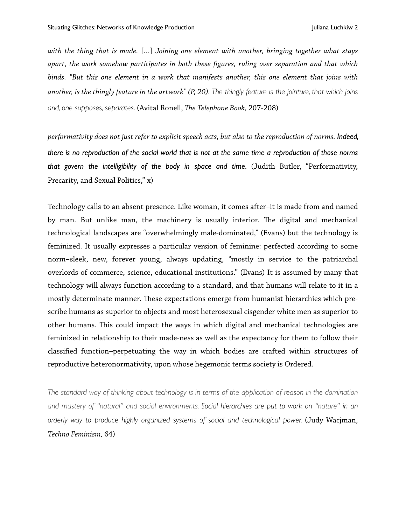*with the thing that is made.* […] *Joining one element with another, bringing together what stays apart, the work somehow participates in both these fgures, ruling over separation and that which binds. "But this one element in a work that manifests another, this one element that joins with another, is the thingly feature in the artwork" (P, 20). The thingly feature is the jointure, that which joins and, one supposes, separates.* (Avital Ronell, *Te Telephone Book*, 207-208)

*performativity does not just refer to explicit speech acts, but also to the reproduction of norms. Indeed, there is no reproduction of the social world that is not at the same time a reproduction of those norms that govern the intelligibility of the body in space and time.* (Judith Butler, "Performativity, Precarity, and Sexual Politics," x)

Technology calls to an absent presence. Like woman, it comes after–it is made from and named by man. But unlike man, the machinery is usually interior. The digital and mechanical technological landscapes are "overwhelmingly male-dominated," (Evans) but the technology is feminized. It usually expresses a particular version of feminine: perfected according to some norm–sleek, new, forever young, always updating, "mostly in service to the patriarchal overlords of commerce, science, educational institutions." (Evans) It is assumed by many that technology will always function according to a standard, and that humans will relate to it in a mostly determinate manner. These expectations emerge from humanist hierarchies which prescribe humans as superior to objects and most heterosexual cisgender white men as superior to other humans. This could impact the ways in which digital and mechanical technologies are feminized in relationship to their made-ness as well as the expectancy for them to follow their classifed function–perpetuating the way in which bodies are crafted within structures of reproductive heteronormativity, upon whose hegemonic terms society is Ordered.

*The standard way of thinking about technology is in terms of the application of reason in the domination and mastery of "natural" and social environments. Social hierarchies are put to work on "nature" in an orderly way to produce highly organized systems of social and technological power.* (Judy Wacjman, *Techno Feminism,* 64)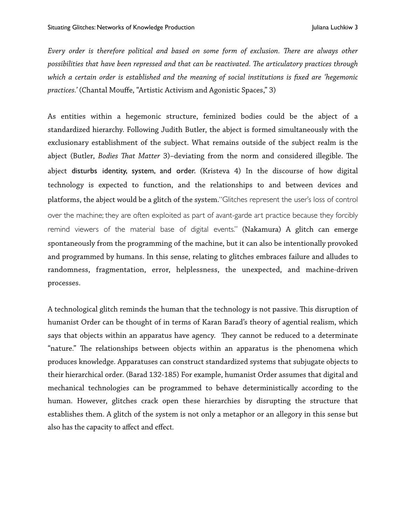*Every order is therefore political and based on some form of exclusion. Tere are always other possibilities that have been repressed and that can be reactivated. Te articulatory practices through which a certain order is established and the meaning of social institutions is fixed are 'hegemonic practices.'* (Chantal Mouffe, "Artistic Activism and Agonistic Spaces," 3)

As entities within a hegemonic structure, feminized bodies could be the abject of a standardized hierarchy. Following Judith Butler, the abject is formed simultaneously with the exclusionary establishment of the subject. What remains outside of the subject realm is the abject (Butler, *Bodies That Matter 3*)-deviating from the norm and considered illegible. The abject disturbs identity, system, and order. (Kristeva 4) In the discourse of how digital technology is expected to function, and the relationships to and between devices and platforms, the abject would be a glitch of the system."Glitches represent the user's loss of control over the machine; they are often exploited as part of avant-garde art practice because they forcibly remind viewers of the material base of digital events." (Nakamura) A glitch can emerge spontaneously from the programming of the machine, but it can also be intentionally provoked and programmed by humans. In this sense, relating to glitches embraces failure and alludes to randomness, fragmentation, error, helplessness, the unexpected, and machine-driven processes.

A technological glitch reminds the human that the technology is not passive. This disruption of humanist Order can be thought of in terms of Karan Barad's theory of agential realism, which says that objects within an apparatus have agency. They cannot be reduced to a determinate "nature." The relationships between objects within an apparatus is the phenomena which produces knowledge. Apparatuses can construct standardized systems that subjugate objects to their hierarchical order. (Barad 132-185) For example, humanist Order assumes that digital and mechanical technologies can be programmed to behave deterministically according to the human. However, glitches crack open these hierarchies by disrupting the structure that establishes them. A glitch of the system is not only a metaphor or an allegory in this sense but also has the capacity to affect and effect.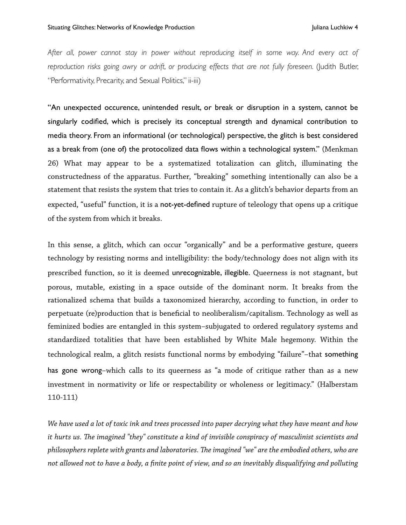After all, power cannot stay in power without reproducing itself in some way. And every act of reproduction risks going awry or adrift, or producing effects that are not fully foreseen. (Judith Butler, "Performativity, Precarity, and Sexual Politics," ii-iii)

"An unexpected occurence, unintended result, or break or disruption in a system, cannot be singularly codified, which is precisely its conceptual strength and dynamical contribution to media theory. From an informational (or technological) perspective, the glitch is best considered as a break from (one of) the protocolized data flows within a technological system." (Menkman 26) What may appear to be a systematized totalization can glitch, illuminating the constructedness of the apparatus. Further, "breaking" something intentionally can also be a statement that resists the system that tries to contain it. As a glitch's behavior departs from an expected, "useful" function, it is a not-yet-defined rupture of teleology that opens up a critique of the system from which it breaks.

In this sense, a glitch, which can occur "organically" and be a performative gesture, queers technology by resisting norms and intelligibility: the body/technology does not align with its prescribed function, so it is deemed unrecognizable, illegible. Queerness is not stagnant, but porous, mutable, existing in a space outside of the dominant norm. It breaks from the rationalized schema that builds a taxonomized hierarchy, according to function, in order to perpetuate (re)production that is benefcial to neoliberalism/capitalism. Technology as well as feminized bodies are entangled in this system–subjugated to ordered regulatory systems and standardized totalities that have been established by White Male hegemony. Within the technological realm, a glitch resists functional norms by embodying "failure"–that something has gone wrong–which calls to its queerness as "a mode of critique rather than as a new investment in normativity or life or respectability or wholeness or legitimacy." (Halberstam 110-111)

*We have used a lot of toxic ink and trees processed into paper decrying what they have meant and how it hurts us. Te imagined "they" constitute a kind of invisible conspiracy of masculinist scientists and philosophers replete with grants and laboratories. Te imagined "we" are the embodied others, who are not allowed not to have a body, a fnite point of view, and so an inevitably disqualifying and polluting*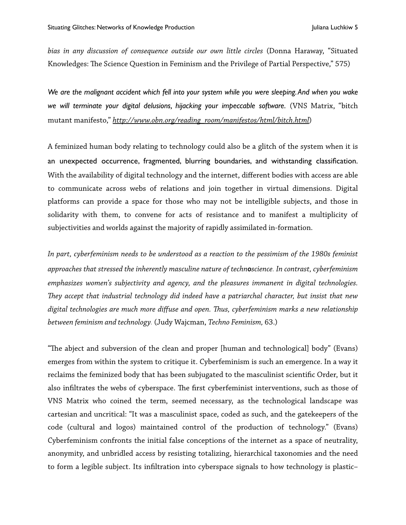*bias in any discussion of consequence outside our own little circles* (Donna Haraway, "Situated Knowledges: The Science Question in Feminism and the Privilege of Partial Perspective," 575)

*We are the malignant accident which fell into your system while you were sleeping. And when you wake we will terminate your digital delusions, hijacking your impeccable software.* (VNS Matrix, "bitch mutant manifesto," *[http://www.obn.org/reading\\_room/manifestos/html/bitch.html](http://www.obn.org/reading_room/manifestos/html/bitch.html)*)

A feminized human body relating to technology could also be a glitch of the system when it is an unexpected occurrence, fragmented, blurring boundaries, and withstanding classification. With the availability of digital technology and the internet, different bodies with access are able to communicate across webs of relations and join together in virtual dimensions. Digital platforms can provide a space for those who may not be intelligible subjects, and those in solidarity with them, to convene for acts of resistance and to manifest a multiplicity of subjectivities and worlds against the majority of rapidly assimilated in-formation.

*In part, cyberfeminism needs to be understood as a reaction to the pessimism of the 1980s feminist approaches that stressed the inherently masculine nature of technoscience. In contrast, cyberfeminism emphasizes women's subjectivity and agency, and the pleasures immanent in digital technologies. Tey accept that industrial technology did indeed have a patriarchal character, but insist that new digital technologies are much more diffuse and open. Tus, cyberfeminism marks a new relationship between feminism and technology.* (Judy Wajcman, *Techno Feminism,* 63.)

"The abject and subversion of the clean and proper [human and technological] body" (Evans) emerges from within the system to critique it. Cyberfeminism is such an emergence. In a way it reclaims the feminized body that has been subjugated to the masculinist scientifc Order, but it also infiltrates the webs of cyberspace. The first cyberfeminist interventions, such as those of VNS Matrix who coined the term, seemed necessary, as the technological landscape was cartesian and uncritical: "It was a masculinist space, coded as such, and the gatekeepers of the code (cultural and logos) maintained control of the production of technology." (Evans) Cyberfeminism confronts the initial false conceptions of the internet as a space of neutrality, anonymity, and unbridled access by resisting totalizing, hierarchical taxonomies and the need to form a legible subject. Its infltration into cyberspace signals to how technology is plastic–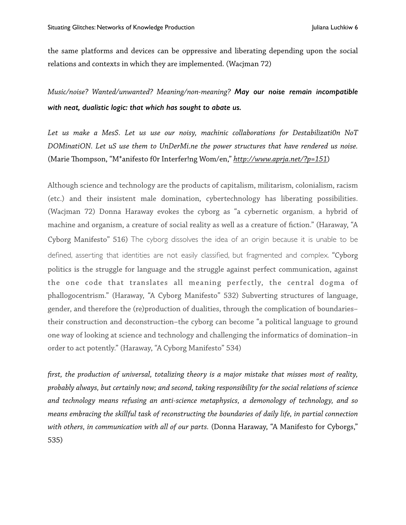the same platforms and devices can be oppressive and liberating depending upon the social relations and contexts in which they are implemented. (Wacjman 72)

*Music/noise? Wanted/unwanted? Meaning/non-meaning? May our noise remain incompatible with neat, dualistic logic: that which has sought to abate us.*

*Let us make a MesS. Let us use our noisy, machinic collaborations for Destabilizati0n NoT DOMinatiON. Let uS use them to UnDerMi.ne the power structures that have rendered us noise.* (Marie Tompson, "M\*anifesto f0r Interfer!ng Wom/en," *<http://www.aprja.net/?p=151>*)

Although science and technology are the products of capitalism, militarism, colonialism, racism (etc.) and their insistent male domination, cybertechnology has liberating possibilities. (Wacjman 72) Donna Haraway evokes the cyborg as "a cybernetic organism, a hybrid of machine and organism, a creature of social reality as well as a creature of fction." (Haraway, "A Cyborg Manifesto" 516) The cyborg dissolves the idea of an origin because it is unable to be defined, asserting that identities are not easily classified, but fragmented and complex. "Cyborg politics is the struggle for language and the struggle against perfect communication, against the one code that translates all meaning perfectly, the central dogma of phallogocentrism." (Haraway, "A Cyborg Manifesto" 532) Subverting structures of language, gender, and therefore the (re)production of dualities, through the complication of boundaries– their construction and deconstruction–the cyborg can become "a political language to ground one way of looking at science and technology and challenging the informatics of domination–in order to act potently." (Haraway, "A Cyborg Manifesto" 534)

*frst, the production of universal, totalizing theory is a major mistake that misses most of reality, probably always, but certainly now; and second, taking responsibility for the social relations of science and technology means refusing an anti-science metaphysics, a demonology of technology, and so means embracing the skillful task of reconstructing the boundaries of daily life, in partial connection with others, in communication with all of our parts.* (Donna Haraway, "A Manifesto for Cyborgs," 535)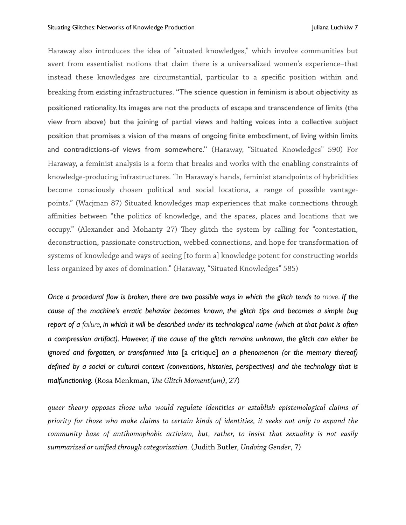Haraway also introduces the idea of "situated knowledges," which involve communities but avert from essentialist notions that claim there is a universalized women's experience–that instead these knowledges are circumstantial, particular to a specifc position within and breaking from existing infrastructures. "The science question in feminism is about objectivity as positioned rationality. Its images are not the products of escape and transcendence of limits (the view from above) but the joining of partial views and halting voices into a collective subject position that promises a vision of the means of ongoing finite embodiment, of living within limits and contradictions-of views from somewhere." (Haraway, "Situated Knowledges" 590) For Haraway, a feminist analysis is a form that breaks and works with the enabling constraints of knowledge-producing infrastructures. "In Haraway's hands, feminist standpoints of hybridities become consciously chosen political and social locations, a range of possible vantagepoints." (Wacjman 87) Situated knowledges map experiences that make connections through affinities between "the politics of knowledge, and the spaces, places and locations that we occupy." (Alexander and Mohanty 27) They glitch the system by calling for "contestation, deconstruction, passionate construction, webbed connections, and hope for transformation of systems of knowledge and ways of seeing [to form a] knowledge potent for constructing worlds less organized by axes of domination." (Haraway, "Situated Knowledges" 585)

*Once a procedural flow is broken, there are two possible ways in which the glitch tends to move. If the cause of the machine's erratic behavior becomes known, the glitch tips and becomes a simple bug report of a failure, in which it will be described under its technological name (which at that point is often a compression artifact). However, if the cause of the glitch remains unknown, the glitch can either be ignored and forgotten, or transformed into* [a critique] *on a phenomenon (or the memory thereof) defined by a social or cultural context (conventions, histories, perspectives) and the technology that is malfunctioning.* (Rosa Menkman, *Te Glitch Moment(um)*, 27)

*queer theory opposes those who would regulate identities or establish epistemological claims of priority for those who make claims to certain kinds of identities, it seeks not only to expand the community base of antihomophobic activism, but, rather, to insist that sexuality is not easily summarized or unifed through categorization.* (Judith Butler, *Undoing Gender*, 7)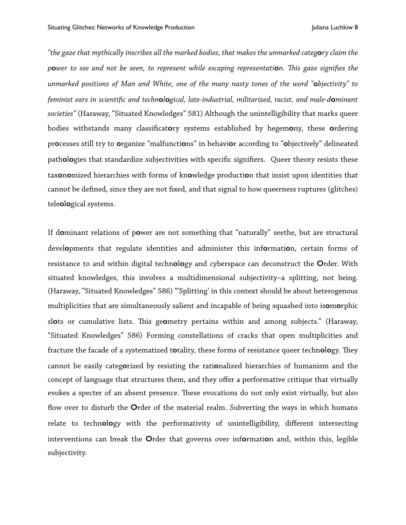*"the gaze that mythically inscribes all the marked bodies, that makes the unmarked categ***o***ry claim the p***o***wer to see and not be seen, to represent while escaping representati***o***n. Tis gaze signifes the unmarked positions of Man and White, one of the many nasty tones of the word "***o***bjectivity" to feminist ears in scientifc and techn***o***l***o***gical, late-industrial, militarized, racist, and male-d***o***minant societies"* (Haraway, "Situated Knowledges" 581) Although the unintelligibility that marks queer bodies withstands many classifcat**o**ry systems established by hegem**o**ny, these **o**rdering pr**o**cesses still try to **o**rganize "malfuncti**o**ns" in behavi**o**r according to "**o**bjectively" delineated path**o**l**o**gies that standardize subjectivities with specifc signifers. Queer theory resists these tax**o**n**o**mized hierarchies with forms of kn**o**wledge producti**o**n that insist upon identities that cannot be defned, since they are not fxed, and that signal to how queerness ruptures (glitches) tele**o**l**o**gical systems.

If d**o**minant relations of p**o**wer are not something that "naturally" seethe, but are structural devel**o**pments that regulate identities and administer this inf**o**rmati**o**n, certain forms of resistance to and within digital techn**o**l**o**gy and cyberspace can deconstruct the **O**rder. With situated knowledges, this involves a multidimensional subjectivity–a splitting, not being. (Haraway, "Situated Knowledges" 586) "'Splitting' in this context should be about heterogenous multiplicities that are simultaneously salient and incapable of being squashed into is**o**m**o**rphic sl**o**ts or cumulative lists. Tis ge**o**metry pertains within and among subjects." (Haraway, "Situated Knowledges" 586) Forming constellations of cracks that open multiplicities and fracture the facade of a systematized totality, these forms of resistance queer technology. They cannot be easily categ**o**rized by resisting the rati**o**nalized hierarchies of humanism and the concept of language that structures them, and they offer a performative critique that virtually evokes a specter of an absent presence. These evocations do not only exist virtually, but also fow over to disturb the **O**rder of the material realm. Subverting the ways in which humans relate to techn**o**l**o**gy with the performativity of unintelligibility, different intersecting interventions can break the **O**rder that governs over inf**o**rmati**o**n and, within this, legible subjectivity.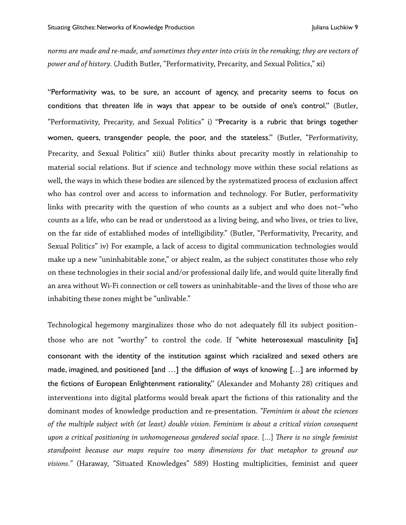*norms are made and re-made, and sometimes they enter into crisis in the remaking; they are vectors of power and of history.* (Judith Butler, "Performativity, Precarity, and Sexual Politics," xi)

"Performativity was, to be sure, an account of agency, and precarity seems to focus on conditions that threaten life in ways that appear to be outside of one's control." (Butler, "Performativity, Precarity, and Sexual Politics" i) "Precarity is a rubric that brings together women, queers, transgender people, the poor, and the stateless." (Butler, "Performativity, Precarity, and Sexual Politics" xiii) Butler thinks about precarity mostly in relationship to material social relations. But if science and technology move within these social relations as well, the ways in which these bodies are silenced by the systematized process of exclusion affect who has control over and access to information and technology. For Butler, performativity links with precarity with the question of who counts as a subject and who does not–"who counts as a life, who can be read or understood as a living being, and who lives, or tries to live, on the far side of established modes of intelligibility." (Butler, "Performativity, Precarity, and Sexual Politics" iv) For example, a lack of access to digital communication technologies would make up a new "uninhabitable zone," or abject realm, as the subject constitutes those who rely on these technologies in their social and/or professional daily life, and would quite literally fnd an area without Wi-Fi connection or cell towers as uninhabitable–and the lives of those who are inhabiting these zones might be "unlivable."

Technological hegemony marginalizes those who do not adequately fll its subject position– those who are not "worthy" to control the code. If "white heterosexual masculinity [is] consonant with the identity of the institution against which racialized and sexed others are made, imagined, and positioned [and …] the diffusion of ways of knowing […] are informed by the fictions of European Enlightenment rationality," (Alexander and Mohanty 28) critiques and interventions into digital platforms would break apart the fctions of this rationality and the dominant modes of knowledge production and re-presentation. *"Feminism is about the sciences of the multiple subject with (at least) double vision. Feminism is about a critical vision consequent upon a critical positioning in unhomogeneous gendered social space.* […] *Tere is no single feminist standpoint because our maps require too many dimensions for that metaphor to ground our visions."* (Haraway, "Situated Knowledges" 589) Hosting multiplicities, feminist and queer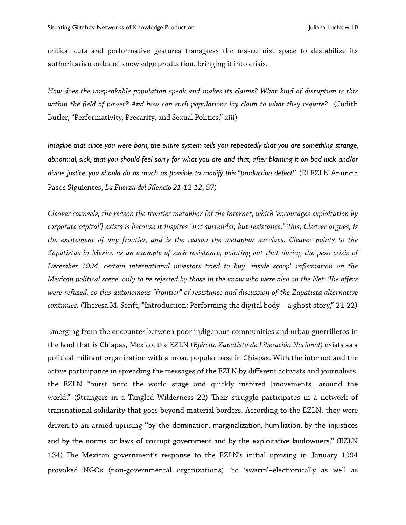critical cuts and performative gestures transgress the masculinist space to destabilize its authoritarian order of knowledge production, bringing it into crisis.

*How does the unspeakable population speak and makes its claims? What kind of disruption is this within the feld of power? And how can such populations lay claim to what they require?* (Judith Butler, "Performativity, Precarity, and Sexual Politics," xiii)

*Imagine that since you were born, the entire system tells you repeatedly that you are something strange, abnormal, sick, that you should feel sorry for what you are and that, after blaming it on bad luck and/or divine justice, you should do as much as possible to modify this "production defect".* (El EZLN Anuncia Pasos Siguientes, *La Fuerza del Silencio 21-12-12*, 57)

*Cleaver counsels, the reason the frontier metaphor [of the internet, which 'encourages exploitation by corporate capital'] exists is because it inspires "not surrender, but resistance." Tis, Cleaver argues, is the excitement of any frontier, and is the reason the metaphor survives. Cleaver points to the Zapatistas in Mexico as an example of such resistance, pointing out that during the peso crisis of December 1994, certain international investors tried to buy "inside scoop" information on the Mexican political scene, only to be rejected by those in the know who were also on the Net: Te offers were refused, so this autonomous "frontier" of resistance and discussion of the Zapatista alternative continues.* (Theresa M. Senft, "Introduction: Performing the digital body—a ghost story," 21-22)

Emerging from the encounter between poor indigenous communities and urban guerrilleros in the land that is Chiapas, Mexico, the EZLN (*Ejército Zapatista de Liberación Nacional*) exists as a political militant organization with a broad popular base in Chiapas. With the internet and the active participance in spreading the messages of the EZLN by different activists and journalists, the EZLN "burst onto the world stage and quickly inspired [movements] around the world." (Strangers in a Tangled Wilderness 22) Their struggle participates in a network of transnational solidarity that goes beyond material borders. According to the EZLN, they were driven to an armed uprising "by the domination, marginalization, humiliation, by the injustices and by the norms or laws of corrupt government and by the exploitative landowners." (EZLN 134) The Mexican government's response to the EZLN's initial uprising in January 1994 provoked NGOs (non-governmental organizations) "to 'swarm'–electronically as well as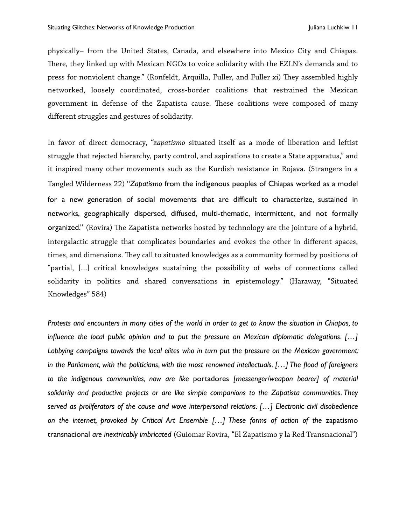physically– from the United States, Canada, and elsewhere into Mexico City and Chiapas. There, they linked up with Mexican NGOs to voice solidarity with the EZLN's demands and to press for nonviolent change." (Ronfeldt, Arquilla, Fuller, and Fuller xi) They assembled highly networked, loosely coordinated, cross-border coalitions that restrained the Mexican government in defense of the Zapatista cause. These coalitions were composed of many different struggles and gestures of solidarity.

In favor of direct democracy, "*zapatismo* situated itself as a mode of liberation and leftist struggle that rejected hierarchy, party control, and aspirations to create a State apparatus," and it inspired many other movements such as the Kurdish resistance in Rojava. (Strangers in a Tangled Wilderness 22) "*Zapatismo* from the indigenous peoples of Chiapas worked as a model for a new generation of social movements that are difficult to characterize, sustained in networks, geographically dispersed, diffused, multi-thematic, intermittent, and not formally organized." (Rovira) The Zapatista networks hosted by technology are the jointure of a hybrid, intergalactic struggle that complicates boundaries and evokes the other in different spaces, times, and dimensions. They call to situated knowledges as a community formed by positions of "partial, […] critical knowledges sustaining the possibility of webs of connections called solidarity in politics and shared conversations in epistemology." (Haraway, "Situated Knowledges" 584)

*Protests and encounters in many cities of the world in order to get to know the situation in Chiapas, to influence the local public opinion and to put the pressure on Mexican diplomatic delegations. […] Lobbying campaigns towards the local elites who in turn put the pressure on the Mexican government: in the Parliament, with the politicians, with the most renowned intellectuals. […] The flood of foreigners to the indigenous communities, now are like* portadores *[messenger/weapon bearer] of material solidarity and productive projects or are like simple companions to the Zapatista communities. They served as proliferators of the cause and wove interpersonal relations. […] Electronic civil disobedience*  on the internet, provoked by Critical Art Ensemble [...] These forms of action of the zapatismo transnacional *are inextricably imbricated* (Guiomar Rovira, "El Zapatismo y la Red Transnacional")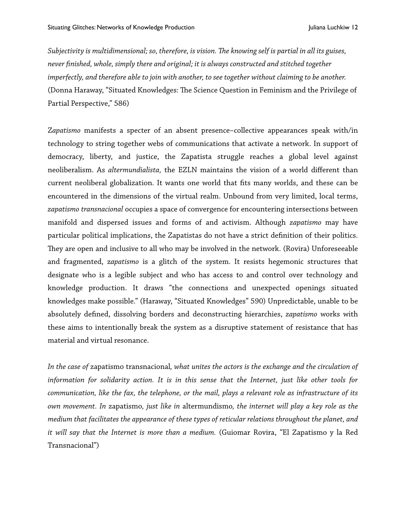*Subjectivity is multidimensional; so, therefore, is vision. Te knowing self is partial in all its guises, never fnished, whole, simply there and original; it is always constructed and stitched together imperfectly, and therefore able to join with another, to see together without claiming to be another.*  (Donna Haraway, "Situated Knowledges: The Science Question in Feminism and the Privilege of Partial Perspective," 586)

Z*apatismo* manifests a specter of an absent presence–collective appearances speak with/in technology to string together webs of communications that activate a network. In support of democracy, liberty, and justice, the Zapatista struggle reaches a global level against neoliberalism. As *altermundialista,* the EZLN maintains the vision of a world different than current neoliberal globalization. It wants one world that fts many worlds, and these can be encountered in the dimensions of the virtual realm. Unbound from very limited, local terms, *zapatismo transnacional* occupies a space of convergence for encountering intersections between manifold and dispersed issues and forms of and activism. Although *zapatismo* may have particular political implications, the Zapatistas do not have a strict defnition of their politics. They are open and inclusive to all who may be involved in the network. (Rovira) Unforeseeable and fragmented, z*apatismo* is a glitch of the system. It resists hegemonic structures that designate who is a legible subject and who has access to and control over technology and knowledge production. It draws "the connections and unexpected openings situated knowledges make possible." (Haraway, "Situated Knowledges" 590) Unpredictable, unable to be absolutely defned, dissolving borders and deconstructing hierarchies, *zapatismo* works with these aims to intentionally break the system as a disruptive statement of resistance that has material and virtual resonance.

*In the case of* zapatismo transnacional*, what unites the actors is the exchange and the circulation of information for solidarity action. It is in this sense that the Internet, just like other tools for communication, like the fax, the telephone, or the mail, plays a relevant role as infrastructure of its own movement. In* zapatismo*, just like in* altermundismo*, the internet will play a key role as the medium that facilitates the appearance of these types of reticular relations throughout the planet, and it will say that the Internet is more than a medium.* (Guiomar Rovira, "El Zapatismo y la Red Transnacional")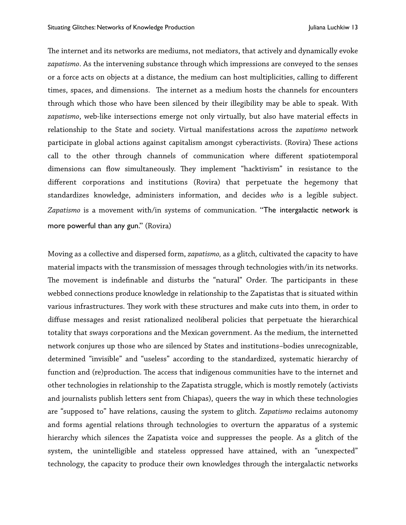The internet and its networks are mediums, not mediators, that actively and dynamically evoke *zapatismo*. As the intervening substance through which impressions are conveyed to the senses or a force acts on objects at a distance, the medium can host multiplicities, calling to different times, spaces, and dimensions. The internet as a medium hosts the channels for encounters through which those who have been silenced by their illegibility may be able to speak. With *zapatismo*, web-like intersections emerge not only virtually, but also have material effects in relationship to the State and society. Virtual manifestations across the *zapatismo* network participate in global actions against capitalism amongst cyberactivists. (Rovira) These actions call to the other through channels of communication where different spatiotemporal dimensions can flow simultaneously. They implement "hacktivism" in resistance to the different corporations and institutions (Rovira) that perpetuate the hegemony that standardizes knowledge, administers information, and decides *who* is a legible subject. *Zapatismo* is a movement with/in systems of communication. "The intergalactic network is more powerful than any gun." (Rovira)

Moving as a collective and dispersed form, *zapatismo,* as a glitch*,* cultivated the capacity to have material impacts with the transmission of messages through technologies with/in its networks. The movement is indefinable and disturbs the "natural" Order. The participants in these webbed connections produce knowledge in relationship to the Zapatistas that is situated within various infrastructures. They work with these structures and make cuts into them, in order to diffuse messages and resist rationalized neoliberal policies that perpetuate the hierarchical totality that sways corporations and the Mexican government. As the medium, the internetted network conjures up those who are silenced by States and institutions–bodies unrecognizable, determined "invisible" and "useless" according to the standardized, systematic hierarchy of function and (re)production. The access that indigenous communities have to the internet and other technologies in relationship to the Zapatista struggle, which is mostly remotely (activists and journalists publish letters sent from Chiapas), queers the way in which these technologies are "supposed to" have relations, causing the system to glitch. Z*apatismo* reclaims autonomy and forms agential relations through technologies to overturn the apparatus of a systemic hierarchy which silences the Zapatista voice and suppresses the people. As a glitch of the system, the unintelligible and stateless oppressed have attained, with an "unexpected" technology, the capacity to produce their own knowledges through the intergalactic networks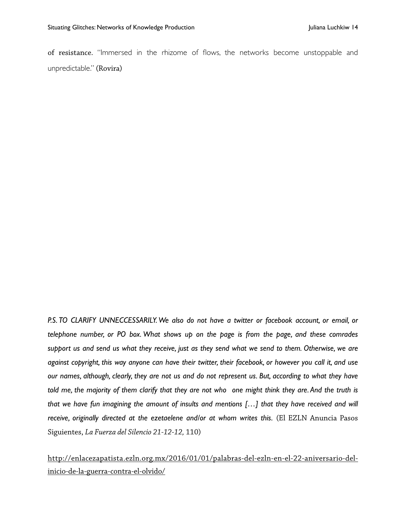of resistance. "Immersed in the rhizome of flows, the networks become unstoppable and unpredictable." (Rovira)

P.S. TO CLARIFY UNNECCESSARILY. We also do not have a twitter or facebook account, or email, or *telephone number, or PO box. What shows up on the page is from the page, and these comrades support us and send us what they receive, just as they send what we send to them. Otherwise, we are against copyright, this way anyone can have their twitter, their facebook, or however you call it, and use our names, although, clearly, they are not us and do not represent us. But, according to what they have told me, the majority of them clarify that they are not who one might think they are. And the truth is that we have fun imagining the amount of insults and mentions […] that they have received and will receive, originally directed at the ezetaelene and/or at whom writes this.* (El EZLN Anuncia Pasos Siguientes, *La Fuerza del Silencio 21-12-12,* 110)

[http://enlacezapatista.ezln.org.mx/2016/01/01/palabras-del-ezln-en-el-22-aniversario-del](http://enlacezapatista.ezln.org.mx/2016/01/01/palabras-del-ezln-en-el-22-aniversario-del-inicio-de-la-guerra-contra-el-olvido/)inicio-de-la-guerra-contra-el-olvido/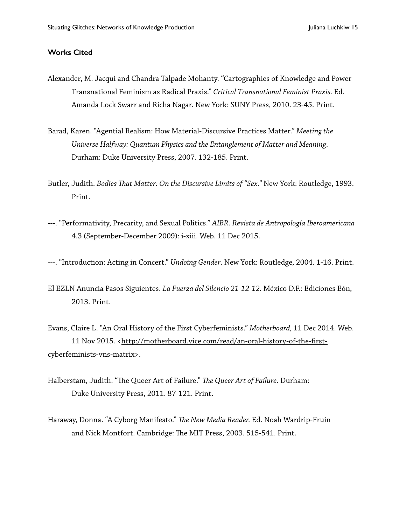## **Works Cited**

- Alexander, M. Jacqui and Chandra Talpade Mohanty. "Cartographies of Knowledge and Power Transnational Feminism as Radical Praxis." *Critical Transnational Feminist Praxis.* Ed. Amanda Lock Swarr and Richa Nagar. New York: SUNY Press, 2010. 23-45. Print.
- Barad, Karen. "Agential Realism: How Material-Discursive Practices Matter." *Meeting the Universe Halfway: Quantum Physics and the Entanglement of Matter and Meaning*. Durham: Duke University Press, 2007. 132-185. Print.
- Butler, Judith. *Bodies Tat Matter: On the Discursive Limits of "Sex."* New York: Routledge, 1993. Print.
- ---. "Performativity, Precarity, and Sexual Politics." *AIBR. Revista de Antropología Iberoamericana*  4.3 (September-December 2009): i-xiii. Web. 11 Dec 2015.
- ---. "Introduction: Acting in Concert." *Undoing Gender*. New York: Routledge, 2004. 1-16. Print.
- El EZLN Anuncia Pasos Siguientes. *La Fuerza del Silencio 21-12-12.* México D.F.: Ediciones Eón, 2013. Print.

Evans, Claire L. "An Oral History of the First Cyberfeminists." *Motherboard,* 11 Dec 2014. Web.  [11 Nov 2015. <http://motherboard.vice.com/read/an-oral-history-of-the-](http://motherboard.vice.com/read/an-oral-history-of-the-first-cyberfeminists-vns-matrix)frstcyberfeminists-vns[-matrix](http://motherboard.vice.com/read/an-oral-history-of-the-first-cyberfeminists-vns-matrix)>.

- Halberstam, Judith. "The Queer Art of Failure." *The Queer Art of Failure*. Durham: Duke University Press, 2011. 87-121. Print.
- Haraway, Donna. "A Cyborg Manifesto." *Te New Media Reader.* Ed. Noah Wardrip-Fruin and Nick Montfort. Cambridge: The MIT Press, 2003. 515-541. Print.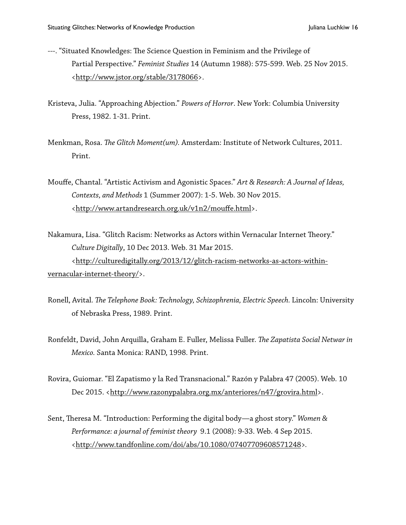- ---. "Situated Knowledges: The Science Question in Feminism and the Privilege of Partial Perspective." *Feminist Studies* 14 (Autumn 1988): 575-599. Web. 25 Nov 2015. [<http://www.jstor.org/stable/3178066>](http://www.jstor.org/stable/3178066).
- Kristeva, Julia. "Approaching Abjection." *Powers of Horror*. New York: Columbia University Press, 1982. 1-31. Print.
- Menkman, Rosa. *Te Glitch Moment(um).* Amsterdam: Institute of Network Cultures, 2011. Print.
- Mouffe, Chantal. "Artistic Activism and Agonistic Spaces." *Art & Research: A Journal of Ideas, Contexts, and Methods* 1 (Summer 2007): 1-5. Web. 30 Nov 2015. [<http://www.artandresearch.org.uk/v1n2/m](http://www.artandresearch.org.uk/v1n2/mouffe.html)ouff[e.html>](http://www.artandresearch.org.uk/v1n2/mouffe.html).
- Nakamura, Lisa. "Glitch Racism: Networks as Actors within Vernacular Internet Theory." *Culture Digitally*, 10 Dec 2013. Web. 31 Mar 2015.  [<http://culturedigitally.org/2013/12/glitch-racism-networks-as-actors-within](http://culturedigitally.org/2013/12/glitch-racism-networks-as-actors-within-vernacular-internet-theory/)vernacular-internet-theory/>.
- Ronell, Avital. *Te Telephone Book: Technology, Schizophrenia, Electric Speech.* Lincoln: University of Nebraska Press, 1989. Print.
- Ronfeldt, David, John Arquilla, Graham E. Fuller, Melissa Fuller. *Te Zapatista Social Netwar in Mexico.* Santa Monica: RAND, 1998. Print.
- Rovira, Guiomar. "El Zapatismo y la Red Transnacional." Razón y Palabra 47 (2005). Web. 10 Dec 2015. [<http://www.razonypalabra.org.mx/anteriores/n47/grovira.html>](http://www.razonypalabra.org.mx/anteriores/n47/grovira.html).
- Sent, Theresa M. "Introduction: Performing the digital body—a ghost story." *Women & Performance: a journal of feminist theory* 9.1 (2008): 9-33. Web. 4 Sep 2015. [<http://www.tandfonline.com/doi/abs/10.1080/07407709608571248](http://www.tandfonline.com/doi/abs/10.1080/07407709608571248)*>.*